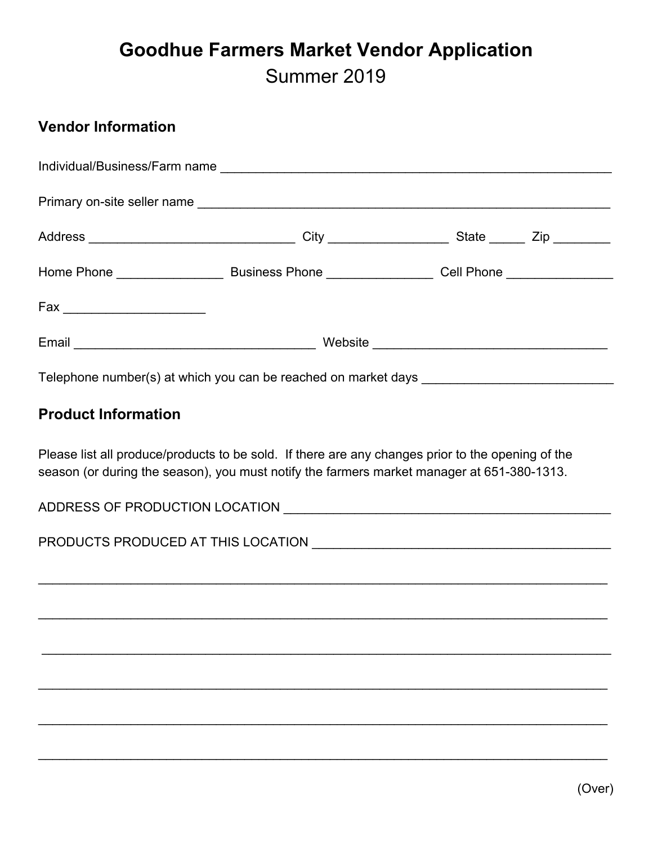## **Goodhue Farmers Market Vendor Application** Summer 2019

## **Vendor Information**

| Telephone number(s) at which you can be reached on market days __________________ |  |  |  |  |
|-----------------------------------------------------------------------------------|--|--|--|--|
| <b>Product Information</b>                                                        |  |  |  |  |

Please list all produce/products to be sold. If there are any changes prior to the opening of the season (or during the season), you must notify the farmers market manager at 651-380-1313.

\_\_\_\_\_\_\_\_\_\_\_\_\_\_\_\_\_\_\_\_\_\_\_\_\_\_\_\_\_\_\_\_\_\_\_\_\_\_\_\_\_\_\_\_\_\_\_\_\_\_\_\_\_\_\_\_\_\_\_\_\_\_\_\_\_\_\_\_\_\_\_\_\_\_\_\_\_\_\_\_

\_\_\_\_\_\_\_\_\_\_\_\_\_\_\_\_\_\_\_\_\_\_\_\_\_\_\_\_\_\_\_\_\_\_\_\_\_\_\_\_\_\_\_\_\_\_\_\_\_\_\_\_\_\_\_\_\_\_\_\_\_\_\_\_\_\_\_\_\_\_\_\_\_\_\_\_\_\_\_\_

\_\_\_\_\_\_\_\_\_\_\_\_\_\_\_\_\_\_\_\_\_\_\_\_\_\_\_\_\_\_\_\_\_\_\_\_\_\_\_\_\_\_\_\_\_\_\_\_\_\_\_\_\_\_\_\_\_\_\_\_\_\_\_\_\_\_\_\_\_\_\_\_\_\_\_\_\_\_\_\_

\_\_\_\_\_\_\_\_\_\_\_\_\_\_\_\_\_\_\_\_\_\_\_\_\_\_\_\_\_\_\_\_\_\_\_\_\_\_\_\_\_\_\_\_\_\_\_\_\_\_\_\_\_\_\_\_\_\_\_\_\_\_\_\_\_\_\_\_\_\_\_\_\_\_\_\_\_\_\_\_

\_\_\_\_\_\_\_\_\_\_\_\_\_\_\_\_\_\_\_\_\_\_\_\_\_\_\_\_\_\_\_\_\_\_\_\_\_\_\_\_\_\_\_\_\_\_\_\_\_\_\_\_\_\_\_\_\_\_\_\_\_\_\_\_\_\_\_\_\_\_\_\_\_\_\_\_\_\_\_\_

\_\_\_\_\_\_\_\_\_\_\_\_\_\_\_\_\_\_\_\_\_\_\_\_\_\_\_\_\_\_\_\_\_\_\_\_\_\_\_\_\_\_\_\_\_\_\_\_\_\_\_\_\_\_\_\_\_\_\_\_\_\_\_\_\_\_\_\_\_\_\_\_\_\_\_\_\_\_\_\_

ADDRESS OF PRODUCTION LOCATION \_\_\_\_\_\_\_\_\_\_\_\_\_\_\_\_\_\_\_\_\_\_\_\_\_\_\_\_\_\_\_\_\_\_\_\_\_\_\_\_\_\_\_\_\_\_

PRODUCTS PRODUCED AT THIS LOCATION \_\_\_\_\_\_\_\_\_\_\_\_\_\_\_\_\_\_\_\_\_\_\_\_\_\_\_\_\_\_\_\_\_\_\_\_\_\_\_\_\_\_